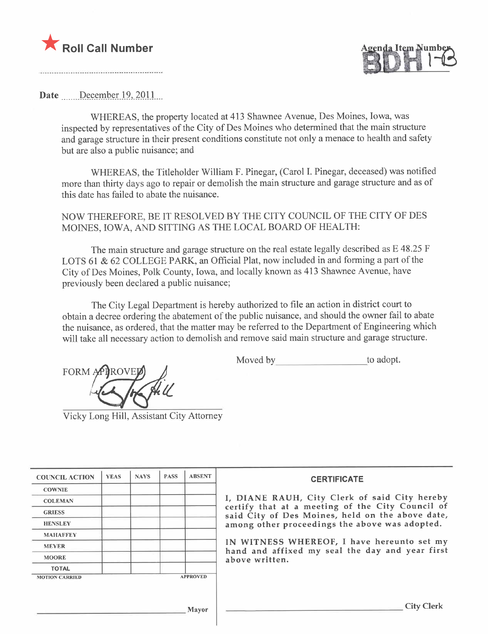



Date  $December 19, 2011$ 

WHEREAS, the property located at 413 Shawnee Avenue, Des Moines, Iowa, was inspected by representatives of the City of Des Moines who determined that the main structure and garage structure in their present conditions constitute not only a menace to health and safety but are also a public nuisance; and

WHEREAS, the Titleholder William F. Pinegar, (Carol 1. Pinegar, deceased) was notified more than thirty days ago to repair or demolish the main structure and garage structure and as of this date has failed to abate the nuisance.

NOW THEREFORE, BE IT RESOLVED BY THE CITY COUNCIL OF THE CITY OF DES MOINES, IOWA, AND SITTING AS THE LOCAL BOARD OF HEALTH:

The main structure and garage structure on the real estate legally described as E 48.25 F LOTS 61 & 62 COLLEGE PARK, an Official Plat, now included in and forming a part of the City of Des Moines, Polk County, Iowa, and locally known as 413 Shawnee Avenue, have previously been declared a public nuisance;

The City Legal Department is hereby authorized to fie an action in district court to obtain a decree ordering the abatement of the public nuisance, and should the owner fail to abate the nuisance, as ordered, that the matter may be referred to the Department of Engineering which will take all necessary action to demolish and remove said main structure and garage structure.

FORM APIROVED  $\bigcup$  Moved by to adopt.

Vicky Long Hil, Assistant City Attorney

| <b>COUNCIL ACTION</b> | <b>YEAS</b> | <b>NAYS</b> | <b>PASS</b> | <b>ABSENT</b>   | <b>CERTIFICATE</b>                                                                                   |
|-----------------------|-------------|-------------|-------------|-----------------|------------------------------------------------------------------------------------------------------|
| <b>COWNIE</b>         |             |             |             |                 |                                                                                                      |
| <b>COLEMAN</b>        |             |             |             |                 | I, DIANE RAUH, City Clerk of said City hereby                                                        |
| <b>GRIESS</b>         |             |             |             |                 | certify that at a meeting of the City Council of<br>said City of Des Moines, held on the above date, |
| <b>HENSLEY</b>        |             |             |             |                 | among other proceedings the above was adopted.                                                       |
| <b>MAHAFFEY</b>       |             |             |             |                 |                                                                                                      |
| <b>MEYER</b>          |             |             |             |                 | IN WITNESS WHEREOF, I have hereunto set my<br>hand and affixed my seal the day and year first        |
| <b>MOORE</b>          |             |             |             |                 | above written.                                                                                       |
| <b>TOTAL</b>          |             |             |             |                 |                                                                                                      |
| <b>MOTION CARRIED</b> |             |             |             | <b>APPROVED</b> |                                                                                                      |
|                       |             |             |             |                 |                                                                                                      |
|                       |             |             |             | Mayor           | <b>City Clerk</b>                                                                                    |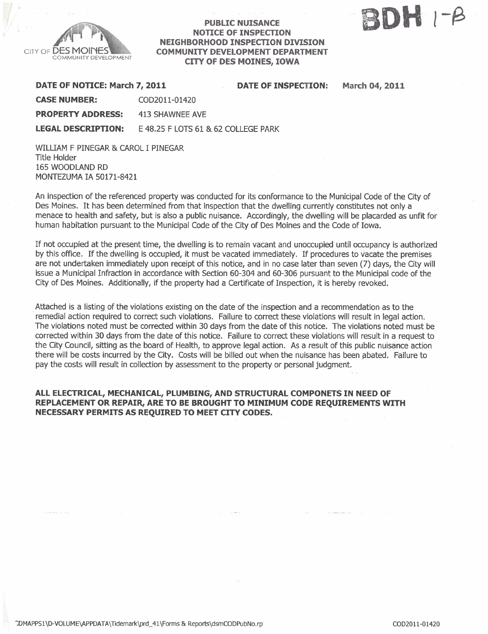

### PUBLIC NUISANCE NOTICE OF INSPECTION NEIGHBORHOOD INSPECTON DIVISION COMMUNITY DEVELOPMENT DEPARTMENT CITY OF DES MOINES, IOWA



March 04, 2011

| DATE OF NOTICE: March 7, 2011 |                                     | <b>DATE OF INSPECTION:</b> |
|-------------------------------|-------------------------------------|----------------------------|
| <b>CASE NUMBER:</b>           | COD2011-01420                       |                            |
| <b>PROPERTY ADDRESS:</b>      | 413 SHAWNEE AVE                     |                            |
| <b>LEGAL DESCRIPTION:</b>     | E 48.25 F LOTS 61 & 62 COLLEGE PARK |                            |

WILLIAM F PINEGAR & CAROL I PINEGAR Title Holder 165 WOODLAND RD MONTEZUMA IA 50171-8421

An inspection of the referenced property was conducted for its conformance to the Municipal Code of the City of Des Moines. It has been determined from that inspection that the dwelling currently constitutes not only a menace to health and safety, but is also a public nuisance. Accordingly, the dwelling wil be placarded as unfit for human habitation pursuant to the Municipal Code of the City of Des Moines and the Code of Iowa.

If not occupied at the present time, the dwelling is to remain vacant and unoccupied until occupancy is authorized by this office. If the dwelling is occupied, it must be vacated immediately. If procedures to vacate the premises are not undertaken immediately upon receipt of this notice, and in no case later than seven (7) days, the City will issue a Municipal Infraction in accordance with Section 60-304 and 60-306 pursuant to the Municipal code of the City of Des Moines. Additionally, if the property had a Certificate of Inspection, it is hereby revoked.

. Attached is a listing of the violations existing on the date of the inspection and a recommendation as to the remedial action required to correct such violations. Failure to correct these violations will result in legal action. The violations noted must be corrected within 30 days from the date of this notice. The violations noted must be corrected within 30 days from the date of this notice. Failure to correct these violations wil result in a request to the City Council, sitting as the board of Health, to approve legal action. As a result of this public nuisance action there will be costs incurred by the City. Costs will be billed out when the nuisance has been abated. Failure to pay the costs will result in collection by assessment to the property or personal judgment.

## ALL ELECTRICAL, MECHANICAL, PLUMBING, AND STRUCTURAL COMPONETS IN NEED OF REPLACEMENT OR REPAIR, ARE TO BE BROUGHT TO MINIMUM CODE REQUIREMENTS WITH NECESSARY PERMITS AS REQUIRED TO MEET CITY CODES.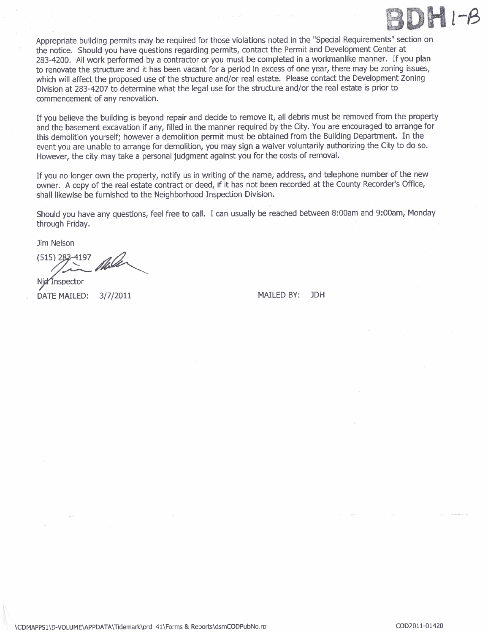

Appropriate building permits may be required for those violations noted in the "Special Requirements" section on the notice. Should you have questions regarding permits, contact the Permit and Development Center at 283-4200. All work performed by a contractor or you must be completed in a workmanlike manner. If you plan to renovate the structure and it has been vacant for a period in excess of one year, there may be zoning issues, which will affect the proposed use of the structure and/or real estate. Please contact the Development Zoning Division at 283-4207 to determine what the legal use for the structure and/or the real estate is prior to commencement of any renovation.

If you believe the building is beyond repair and decide to remove it, all debris must be removed from the propert and the basement excavation if any, filled in the manner required by the City. You are encouraged to arrange for this demolition yourself; however a demolition permit must be obtained from the Building Department. In the event you are unable to arrange for demolition, you may sign a waiver voluntarily authorizing the City to do so. However, the city may take a personal judgment against you for the costs of removaL.

If you no longer own the property, notify us in writing of the name, address, and telephone number of the new owner. A copy of the real estate contract or deed, if it has not been recorded at the County Recorder's Office, shall likewise be furnished to the Neighborhood Inspection Division.

Should you have any questions, feel free to calL. I can usually be reached between 8:00am and 9:00am, Monday through Friday.

Jim Nelson<br>(515) 283-4197

Nid Inspector

DATE MAILED: 3/7/2011 MAILED BY: JDH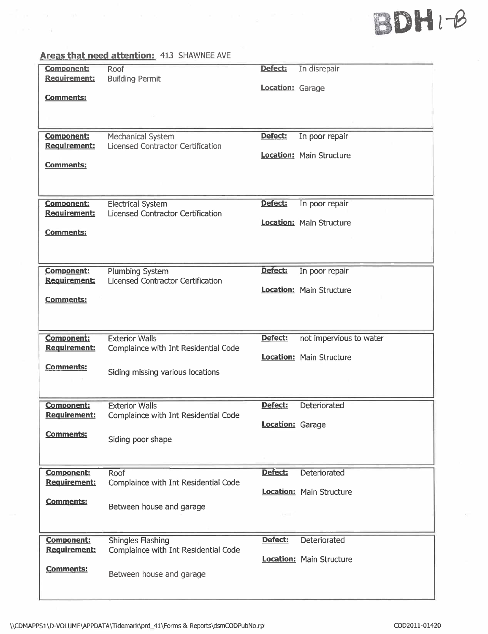# SDH i-ø

## Areas that need attention: 413 SHAWNEE AVE

-XX

| <b>Component:</b>                        | Roof                                                          | Defect:                 | In disrepair                    |
|------------------------------------------|---------------------------------------------------------------|-------------------------|---------------------------------|
| <b>Requirement:</b>                      | <b>Building Permit</b>                                        | <b>Location: Garage</b> |                                 |
| <b>Comments:</b>                         |                                                               |                         |                                 |
|                                          |                                                               |                         |                                 |
| <b>Component:</b>                        | Mechanical System                                             | Defect:                 | In poor repair                  |
| Requirement:                             | <b>Licensed Contractor Certification</b>                      |                         | <b>Location: Main Structure</b> |
| <b>Comments:</b>                         |                                                               |                         |                                 |
|                                          |                                                               |                         |                                 |
| <b>Component:</b>                        | <b>Electrical System</b>                                      | Defect:                 | In poor repair                  |
| Requirement:                             | Licensed Contractor Certification                             |                         | <b>Location:</b> Main Structure |
| <b>Comments:</b>                         |                                                               |                         |                                 |
|                                          |                                                               |                         |                                 |
| <b>Component:</b>                        | Plumbing System                                               | Defect:                 | In poor repair                  |
| <b>Requirement:</b>                      | <b>Licensed Contractor Certification</b>                      |                         | <b>Location:</b> Main Structure |
| <b>Comments:</b>                         |                                                               |                         |                                 |
|                                          |                                                               |                         |                                 |
| Component:<br>Requirement:               | <b>Exterior Walls</b><br>Complaince with Int Residential Code | Defect:                 | not impervious to water         |
|                                          |                                                               |                         | <b>Location:</b> Main Structure |
| Comments:                                | Siding missing various locations                              |                         |                                 |
|                                          |                                                               |                         |                                 |
| <b>Component:</b><br><b>Requirement:</b> | <b>Exterior Walls</b><br>Complaince with Int Residential Code | Defect:                 | Deteriorated                    |
|                                          |                                                               | Location: Garage        |                                 |
| <b>Comments:</b>                         | Siding poor shape                                             |                         |                                 |
|                                          |                                                               |                         |                                 |
| <b>Component:</b><br><b>Requirement:</b> | <b>Roof</b><br>Complaince with Int Residential Code           | Defect:                 | Deteriorated                    |
| <b>Comments:</b>                         |                                                               |                         | Location: Main Structure        |
|                                          | Between house and garage                                      | $-1$                    |                                 |
|                                          |                                                               |                         |                                 |
| <b>Component:</b><br><b>Requirement:</b> | Shingles Flashing<br>Complaince with Int Residential Code     | Defect:                 | Deteriorated                    |
| <b>Comments:</b>                         |                                                               |                         | <b>Location:</b> Main Structure |
|                                          | Between house and garage                                      |                         |                                 |
|                                          |                                                               |                         |                                 |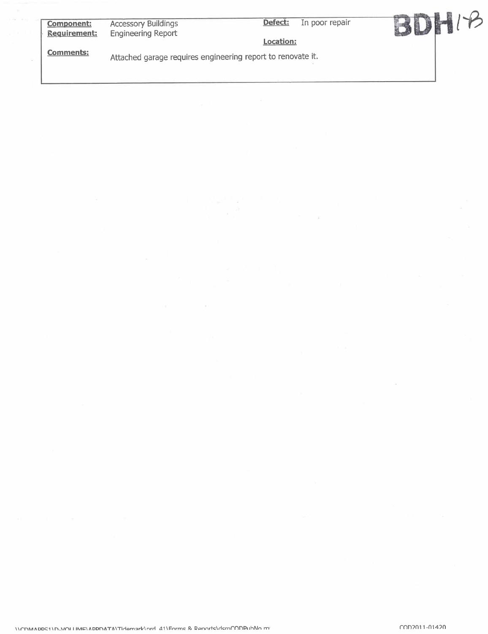| <b>Component:</b><br>Requirement: | <b>Accessory Buildings</b><br><b>Engineering Report</b>     | Defect:   | In poor repair |  |
|-----------------------------------|-------------------------------------------------------------|-----------|----------------|--|
|                                   |                                                             | Location: |                |  |
| <b>Comments:</b>                  | Attached garage requires engineering report to renovate it. |           |                |  |
|                                   |                                                             |           |                |  |

 $\sim$   $\sim$ 

 $\mathcal{D}$ 

 $\sim$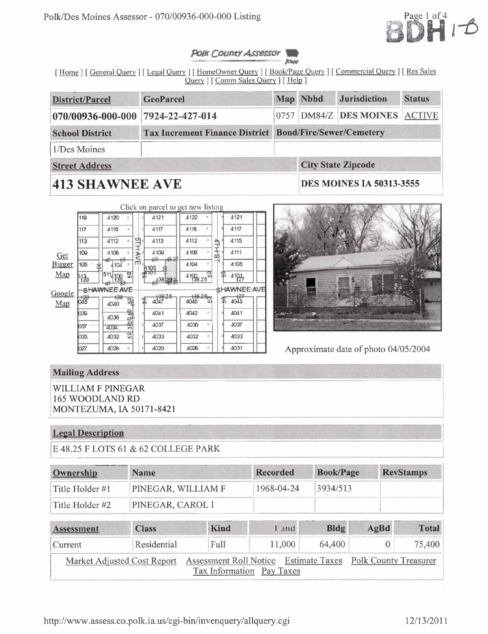

#### Polk County Assessor Jour

[Home ] [ General Query ] [ Legal Query ] [ HomeOwner Query ] [ Book/Page Query ] [ Commercial Query ] [ Res Sales Query | [Comm Sales Query ] [ Help ]

| <b>District/Parcel</b>                                                                   | GeoParcel                         |  | Map Nbhd | <b>Status</b>                   |  |  |  |  |  |
|------------------------------------------------------------------------------------------|-----------------------------------|--|----------|---------------------------------|--|--|--|--|--|
|                                                                                          | 070/00936-000-000 7924-22-427-014 |  |          | 0757 DM84/Z DES MOINES ACTIVE   |  |  |  |  |  |
| <b>Tax Increment Finance District Bond/Fire/Sewer/Cemetery</b><br><b>School District</b> |                                   |  |          |                                 |  |  |  |  |  |
| 1/Des Moines                                                                             |                                   |  |          |                                 |  |  |  |  |  |
| <b>Street Address</b>                                                                    |                                   |  |          | <b>City State Zipcode</b>       |  |  |  |  |  |
| <b>413 SHAWNEE AVE</b>                                                                   |                                   |  |          | <b>DES MOINES IA 50313-3555</b> |  |  |  |  |  |

|        |                 |                        |             |                | Click on parcel to get new listing |                |            |     |                    |  |
|--------|-----------------|------------------------|-------------|----------------|------------------------------------|----------------|------------|-----|--------------------|--|
|        | 119             | 4120                   |             |                | 4121                               | 4122           |            |     | 4121               |  |
|        | 117             | 4116                   | Ŧ           |                | 4117                               | 4118           | ÷          |     | 4117               |  |
|        | 113             | 4112                   | $\tilde{z}$ | 의:             | 4113                               | 4112           | $\ddagger$ |     | 4115               |  |
| Get    | 109             | 4108                   | VAH<br>ž.   |                | 4109                               | 4108           | ÷          | 中土。 | 4111               |  |
| Bigger | 105             | 4104                   | ÷           | m <sub>1</sub> | 99<br>105                          | 4104           | ÷.         |     | 4105               |  |
| Map    | $\frac{13}{30}$ | 511<br>198             | 9           |                | 138293                             | 4199825        |            | ዌ   | 4191               |  |
| Google |                 | SHAWNEE AVE            |             |                |                                    |                |            |     | SHAWNEE-AVE        |  |
| Map    | 嘏               | <del>130</del><br>4040 |             | 댢              | $\frac{138.25}{4047}$              | 138.25<br>4046 |            |     | $\frac{127}{4045}$ |  |
|        | 039             | 4036                   |             | Ξ              | 4041                               | 4042           | z          |     | 4041               |  |
|        | 037             | 4034                   | 3 02 0 50   | εļ             | 4037                               | 4036           | ĩ.         |     | 4037               |  |
|        | 035             | 4032                   | 믃           | Ξ              | 4033                               | 4032           | à,         |     | 4033               |  |
|        | 027             | 4028                   | ÷.          | ٠              | 4029                               | 4028           | ÷          |     | 4031               |  |



Approximate date of photo 04/05/2004

# **Mailing Address**

**WILLIAM F PINEGAR 165 WOODLAND RD** MONTEZUMA, IA 50171-8421

## **Legal Description**

E 48.25 F LOTS 61 & 62 COLLEGE PARK

| Ownership       | <b>Name</b>        | Recorded   | <b>Book/Page</b> | <b>RevStamps</b> |
|-----------------|--------------------|------------|------------------|------------------|
| Title Holder #1 | PINEGAR, WILLIAM F | 1968-04-24 | 3934/513         |                  |
| Title Holder #2 | PINEGAR, CAROL I   |            |                  |                  |

| Assessment | <b>Class</b>                                                                            | <b>Kind</b>               | Land <b>\</b> | $B\log$ | AgBd | <b>Total</b> |
|------------|-----------------------------------------------------------------------------------------|---------------------------|---------------|---------|------|--------------|
| Current    | Residential                                                                             | Full                      | 11,000        | 64,400  |      | 75,400       |
|            | Market Adjusted Cost Report Assessment Roll Notice Estimate Taxes Polk County Treasurer | Tax Information Pay Taxes |               |         |      |              |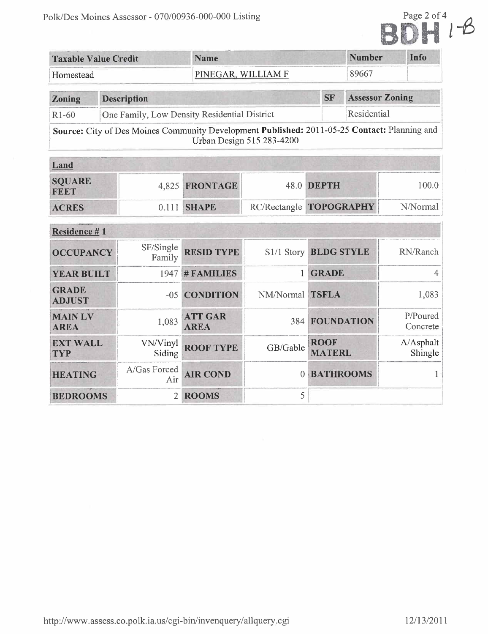

| <b>Taxable Value Credit</b>   |  |                     | <b>Name</b>                                  |                                                                                                                           |                              | <b>Number</b>          |  | Info                 |
|-------------------------------|--|---------------------|----------------------------------------------|---------------------------------------------------------------------------------------------------------------------------|------------------------------|------------------------|--|----------------------|
| Homestead                     |  |                     |                                              | PINEGAR, WILLIAM F                                                                                                        |                              |                        |  |                      |
| Zoning                        |  | <b>Description</b>  |                                              |                                                                                                                           | <b>SF</b>                    | <b>Assessor Zoning</b> |  |                      |
| $R1-60$                       |  |                     | One Family, Low Density Residential District |                                                                                                                           |                              | Residential            |  |                      |
|                               |  |                     |                                              | Source: City of Des Moines Community Development Published: 2011-05-25 Contact: Planning and<br>Urban Design 515 283-4200 |                              |                        |  |                      |
| Land                          |  |                     |                                              |                                                                                                                           |                              |                        |  |                      |
| <b>SQUARE</b><br>FEET         |  | 4,825               | <b>FRONTAGE</b>                              | 48.0                                                                                                                      | <b>DEPTH</b>                 |                        |  | 100.0                |
| <b>ACRES</b>                  |  | 0.111               | <b>SHAPE</b>                                 | RC/Rectangle TOPOGRAPHY                                                                                                   |                              | N/Normal               |  |                      |
| Residence #1                  |  |                     |                                              |                                                                                                                           |                              |                        |  |                      |
| <b>OCCUPANCY</b>              |  | SF/Single<br>Family | <b>RESID TYPE</b>                            | S1/1 Story                                                                                                                | <b>BLDG STYLE</b>            |                        |  | RN/Ranch             |
| <b>YEAR BUILT</b>             |  |                     | $1947$ # FAMILIES                            | 1.                                                                                                                        | <b>GRADE</b>                 |                        |  | 4                    |
| <b>GRADE</b><br><b>ADJUST</b> |  | $-05$               | <b>CONDITION</b>                             | NM/Normal                                                                                                                 | <b>TSFLA</b>                 |                        |  | 1,083                |
| <b>MAIN LV</b><br><b>AREA</b> |  | 1,083               | <b>ATT GAR</b><br><b>AREA</b>                | 384                                                                                                                       |                              | <b>FOUNDATION</b>      |  | P/Poured<br>Concrete |
| <b>EXT WALL</b><br><b>TYP</b> |  | VN/Vinyl<br>Siding  | <b>ROOF TYPE</b>                             | GB/Gable                                                                                                                  | <b>ROOF</b><br><b>MATERL</b> |                        |  | A/Asphalt<br>Shingle |
| <b>HEATING</b>                |  | A/Gas Forced<br>Air | <b>AIR COND</b>                              | $\Omega$                                                                                                                  | <b>BATHROOMS</b>             |                        |  |                      |
| <b>BEDROOMS</b>               |  | $\overline{2}$      | <b>ROOMS</b>                                 | 5                                                                                                                         |                              |                        |  |                      |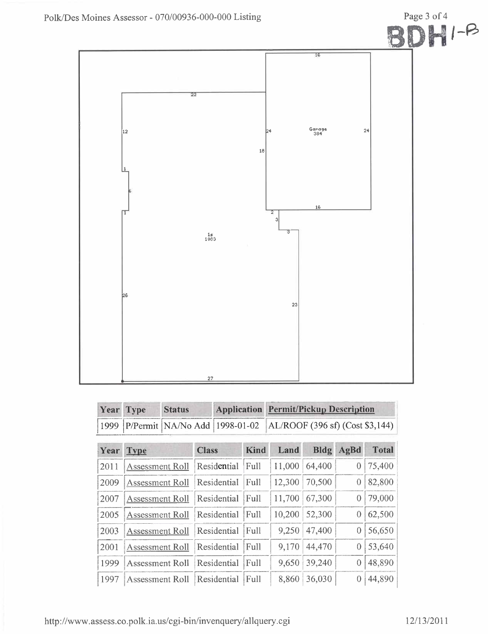

| Year | <b>Type</b>            | <b>Status</b>          |                                   | <b>Application</b> |             | <b>Permit/Pickup Description</b> |                                 |          |              |  |
|------|------------------------|------------------------|-----------------------------------|--------------------|-------------|----------------------------------|---------------------------------|----------|--------------|--|
| 1999 |                        |                        | P/Permit   NA/No Add   1998-01-02 |                    |             |                                  | AL/ROOF (396 sf) (Cost \$3,144) |          |              |  |
| Year | <b>Type</b>            |                        | <b>Class</b>                      |                    | <b>Kind</b> | Land                             | <b>Bldg</b>                     | AgBd     | <b>Total</b> |  |
| 2011 | <b>Assessment Roll</b> |                        |                                   | Residential        | Full        | 11,000                           | 64,400                          | 0        | 75,400       |  |
| 2009 | Assessment Roll        |                        |                                   | Residential        | Full        | 12,300                           | 70,500                          | 0        | 82,800       |  |
| 2007 |                        | <b>Assessment Roll</b> |                                   | Residential        | Full        | 11,700                           | 67,300                          | 0        | 79,000       |  |
| 2005 | <b>Assessment Roll</b> |                        |                                   | Residential        | Full        | 10,200                           | 52,300                          | $\Omega$ | 62,500       |  |
| 2003 | <b>Assessment Roll</b> |                        |                                   | Residential        | Full        | 9,250                            | 47,400                          | 0        | 56,650       |  |
| 2001 |                        | Assessment Roll        |                                   | Residential        | Full        | 9,170                            | 44,470                          | 0        | 53,640       |  |
| 1999 | <b>Assessment Roll</b> |                        |                                   | Residential        | Full        | 9,650                            | 39,240                          | $\theta$ | 48,890       |  |
| 1997 |                        | Assessment Roll        |                                   | Residential        | Full        | 8,860                            | 36,030                          |          | 44,890       |  |